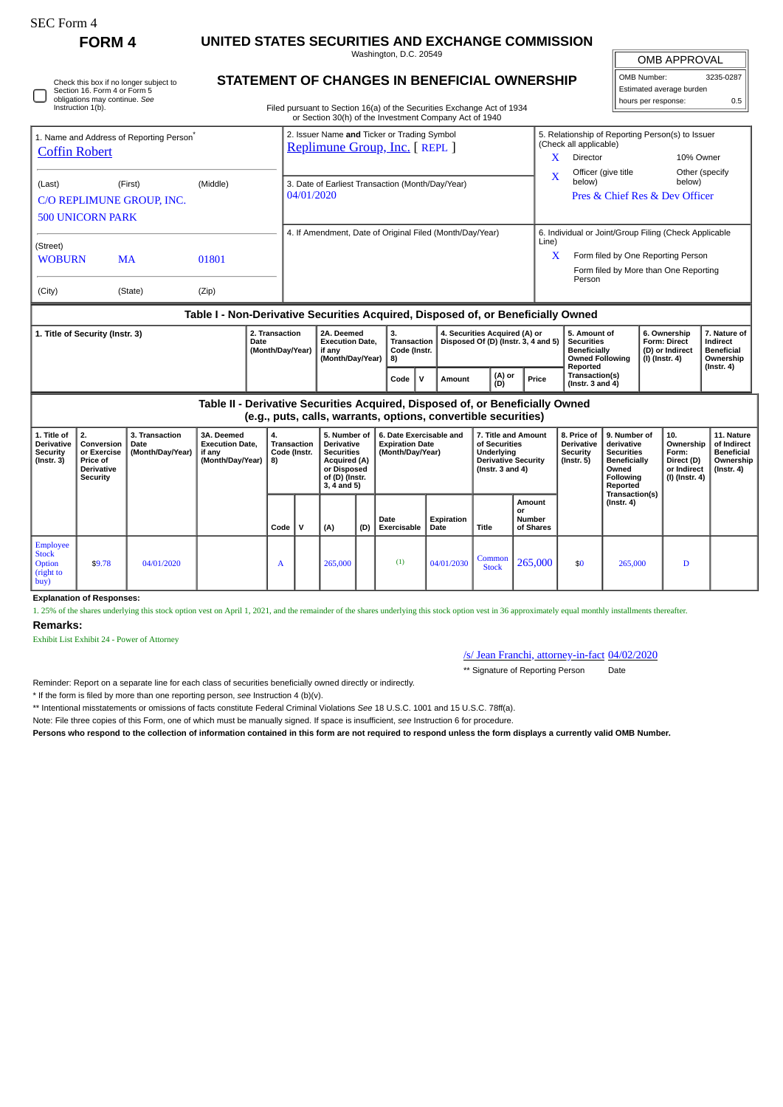| SEC Form - |  |
|------------|--|
|------------|--|

Check this box if no longer subject to Section 16. Form 4 or Form 5 obligations may continue. *See* Instruction 1(b).

**Explanation of Responses:**

Exhibit List Exhibit 24 - Power of Attorney

Employee Stock Option (right to  $buy$ 

**Remarks:**

**FORM 4 UNITED STATES SECURITIES AND EXCHANGE COMMISSION** Washington, D.C. 20549

OMB APPROVAL

| OMB Number:              | 3235-0287 |
|--------------------------|-----------|
| Estimated average burden |           |
| hours per response:      | ሰ 5       |

|  | <b>STATEMENT OF CHANGES IN BENEFICIAL OWNERSHIP</b> |  |
|--|-----------------------------------------------------|--|
|  |                                                     |  |

Filed pursuant to Section 16(a) of the Securities Exchange Act of 1934

|                                                                              |                                                                                                                                                                                                                            |                           |                                                                                        |                                                                              |                                                                                                                                   | or Section 30(h) of the Investment Company Act of 1940                                                                 |        |                                                                |                                                                                                          |       |                                                                                                |                                                                                                          |                                                                          |                                                                          |                                                                                 |                          |           |  |
|------------------------------------------------------------------------------|----------------------------------------------------------------------------------------------------------------------------------------------------------------------------------------------------------------------------|---------------------------|----------------------------------------------------------------------------------------|------------------------------------------------------------------------------|-----------------------------------------------------------------------------------------------------------------------------------|------------------------------------------------------------------------------------------------------------------------|--------|----------------------------------------------------------------|----------------------------------------------------------------------------------------------------------|-------|------------------------------------------------------------------------------------------------|----------------------------------------------------------------------------------------------------------|--------------------------------------------------------------------------|--------------------------------------------------------------------------|---------------------------------------------------------------------------------|--------------------------|-----------|--|
| 1. Name and Address of Reporting Person <sup>7</sup><br><b>Coffin Robert</b> |                                                                                                                                                                                                                            |                           |                                                                                        | 2. Issuer Name and Ticker or Trading Symbol<br>Replimune Group, Inc. [REPL ] |                                                                                                                                   |                                                                                                                        |        |                                                                |                                                                                                          |       |                                                                                                | 5. Relationship of Reporting Person(s) to Issuer<br>(Check all applicable)                               |                                                                          |                                                                          |                                                                                 |                          |           |  |
|                                                                              |                                                                                                                                                                                                                            |                           |                                                                                        |                                                                              |                                                                                                                                   |                                                                                                                        |        |                                                                |                                                                                                          |       |                                                                                                |                                                                                                          | x                                                                        | Director                                                                 |                                                                                 |                          | 10% Owner |  |
| (Last)                                                                       |                                                                                                                                                                                                                            | (First)                   | (Middle)                                                                               |                                                                              | 3. Date of Earliest Transaction (Month/Day/Year)                                                                                  |                                                                                                                        |        |                                                                |                                                                                                          |       |                                                                                                | $\mathbf{x}$                                                                                             | below)                                                                   | Officer (give title                                                      |                                                                                 | Other (specify<br>below) |           |  |
|                                                                              |                                                                                                                                                                                                                            | C/O REPLIMUNE GROUP. INC. |                                                                                        |                                                                              | 04/01/2020                                                                                                                        |                                                                                                                        |        |                                                                |                                                                                                          |       |                                                                                                | Pres & Chief Res & Dev Officer                                                                           |                                                                          |                                                                          |                                                                                 |                          |           |  |
| <b>500 UNICORN PARK</b>                                                      |                                                                                                                                                                                                                            |                           |                                                                                        |                                                                              |                                                                                                                                   |                                                                                                                        |        |                                                                |                                                                                                          |       |                                                                                                |                                                                                                          |                                                                          |                                                                          |                                                                                 |                          |           |  |
|                                                                              | 4. If Amendment, Date of Original Filed (Month/Day/Year)                                                                                                                                                                   |                           |                                                                                        |                                                                              |                                                                                                                                   |                                                                                                                        |        | 6. Individual or Joint/Group Filing (Check Applicable<br>Line) |                                                                                                          |       |                                                                                                |                                                                                                          |                                                                          |                                                                          |                                                                                 |                          |           |  |
| (Street)<br><b>WOBURN</b>                                                    |                                                                                                                                                                                                                            | <b>MA</b>                 | 01801                                                                                  |                                                                              |                                                                                                                                   |                                                                                                                        |        |                                                                |                                                                                                          |       |                                                                                                | Form filed by One Reporting Person<br>X                                                                  |                                                                          |                                                                          |                                                                                 |                          |           |  |
|                                                                              |                                                                                                                                                                                                                            |                           |                                                                                        |                                                                              |                                                                                                                                   |                                                                                                                        |        |                                                                |                                                                                                          |       |                                                                                                |                                                                                                          | Form filed by More than One Reporting<br>Person                          |                                                                          |                                                                                 |                          |           |  |
| (City)                                                                       |                                                                                                                                                                                                                            | (State)                   | (Zip)                                                                                  |                                                                              |                                                                                                                                   |                                                                                                                        |        |                                                                |                                                                                                          |       |                                                                                                |                                                                                                          |                                                                          |                                                                          |                                                                                 |                          |           |  |
|                                                                              |                                                                                                                                                                                                                            |                           | Table I - Non-Derivative Securities Acquired, Disposed of, or Beneficially Owned       |                                                                              |                                                                                                                                   |                                                                                                                        |        |                                                                |                                                                                                          |       |                                                                                                |                                                                                                          |                                                                          |                                                                          |                                                                                 |                          |           |  |
| 2. Transaction<br>1. Title of Security (Instr. 3)<br><b>Date</b>             |                                                                                                                                                                                                                            |                           | 2A. Deemed<br><b>Execution Date,</b><br>(Month/Day/Year)<br>if any<br>(Month/Day/Year) |                                                                              |                                                                                                                                   | 4. Securities Acquired (A) or<br>3.<br>Disposed Of (D) (Instr. 3, 4 and 5)<br><b>Transaction</b><br>Code (Instr.<br>8) |        |                                                                |                                                                                                          |       | 5. Amount of<br><b>Securities</b><br><b>Beneficially</b><br><b>Owned Following</b><br>Reported |                                                                                                          | 6. Ownership<br><b>Form: Direct</b><br>(D) or Indirect<br>(I) (Instr. 4) |                                                                          | 7. Nature of<br>Indirect<br><b>Beneficial</b><br>Ownership                      |                          |           |  |
|                                                                              | $\mathsf{v}$<br>Code                                                                                                                                                                                                       |                           |                                                                                        |                                                                              |                                                                                                                                   |                                                                                                                        | Amount |                                                                | (A) or<br>(D)                                                                                            | Price | Transaction(s)<br>(Instr. $3$ and $4$ )                                                        |                                                                                                          |                                                                          |                                                                          | $($ lnstr. 4 $)$                                                                |                          |           |  |
|                                                                              |                                                                                                                                                                                                                            |                           | Table II - Derivative Securities Acquired, Disposed of, or Beneficially Owned          |                                                                              |                                                                                                                                   | (e.g., puts, calls, warrants, options, convertible securities)                                                         |        |                                                                |                                                                                                          |       |                                                                                                |                                                                                                          |                                                                          |                                                                          |                                                                                 |                          |           |  |
| 1. Title of<br><b>Derivative</b><br>Security<br>$($ Instr. 3 $)$             | 2.<br>3. Transaction<br>3A. Deemed<br>4.<br>Conversion<br><b>Execution Date,</b><br><b>Date</b><br>or Exercise<br>(Month/Day/Year)<br>if anv<br>(Month/Day/Year)<br>Price of<br>8)<br><b>Derivative</b><br><b>Security</b> |                           |                                                                                        | Transaction<br>Code (Instr.                                                  | 5. Number of<br><b>Derivative</b><br><b>Securities</b><br><b>Acquired (A)</b><br>or Disposed<br>of (D) (Instr.<br>$3, 4$ and $5)$ | 6. Date Exercisable and<br><b>Expiration Date</b><br>(Month/Day/Year)                                                  |        |                                                                | 7. Title and Amount<br>of Securities<br>Underlving<br><b>Derivative Security</b><br>( $lnstr. 3 and 4$ ) |       | 8. Price of<br><b>Derivative</b><br><b>Security</b><br>$($ Instr. 5 $)$                        | 9. Number of<br>derivative<br><b>Securities</b><br><b>Beneficially</b><br>Owned<br>Following<br>Reported |                                                                          | 10.<br>Ownership<br>Form:<br>Direct (D)<br>or Indirect<br>(I) (Instr. 4) | 11. Nature<br>of Indirect<br><b>Beneficial</b><br>Ownership<br>$($ Instr. 4 $)$ |                          |           |  |
|                                                                              |                                                                                                                                                                                                                            |                           |                                                                                        |                                                                              |                                                                                                                                   |                                                                                                                        | Amount | Transaction(s)<br>$($ Instr. 4 $)$                             |                                                                                                          |       |                                                                                                |                                                                                                          |                                                                          |                                                                          |                                                                                 |                          |           |  |

**Date Exercisable**

**Expiration Date Title**

## /s/ Jean Franchi, attorney-in-fact 04/02/2020

 $\begin{array}{|c|c|c|c|c|c|} \hline \text{Common} & 265,000 & $50 & 265,000 & D \ \hline \end{array}$ 

\*\* Signature of Reporting Person Date

**Amount or Number of Shares**

Reminder: Report on a separate line for each class of securities beneficially owned directly or indirectly.

\* If the form is filed by more than one reporting person, *see* Instruction 4 (b)(v).

\*\* Intentional misstatements or omissions of facts constitute Federal Criminal Violations *See* 18 U.S.C. 1001 and 15 U.S.C. 78ff(a).

Note: File three copies of this Form, one of which must be manually signed. If space is insufficient, *see* Instruction 6 for procedure.

**Persons who respond to the collection of information contained in this form are not required to respond unless the form displays a currently valid OMB Number.**

1. 25% of the shares underlying this stock option vest on April 1, 2021, and the remainder of the shares underlying this stock option vest in 36 approximately equal monthly installments thereafter.

 $Code \mid V \mid (A) \mid (D)$ 

 $\bullet$  \$9.78 04/01/2020  $\bullet$  A 265,000 (1) 04/01/2030 Common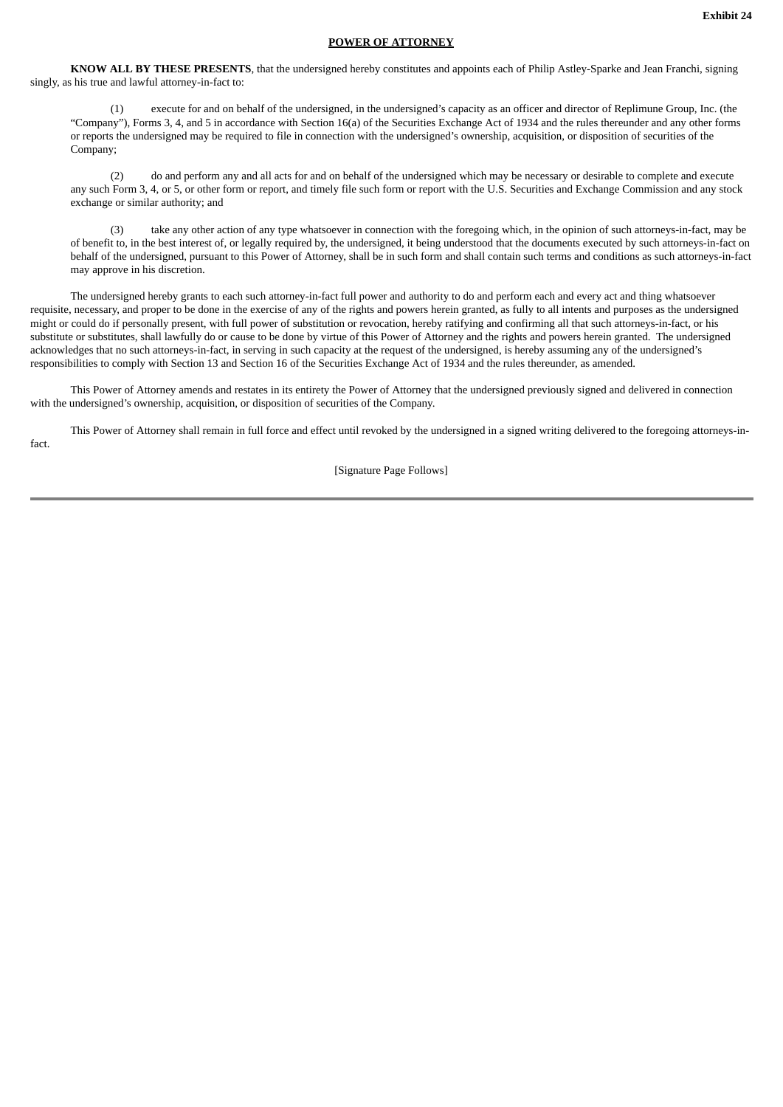## **POWER OF ATTORNEY**

**KNOW ALL BY THESE PRESENTS**, that the undersigned hereby constitutes and appoints each of Philip Astley-Sparke and Jean Franchi, signing singly, as his true and lawful attorney-in-fact to:

(1) execute for and on behalf of the undersigned, in the undersigned's capacity as an officer and director of Replimune Group, Inc. (the "Company"), Forms 3, 4, and 5 in accordance with Section 16(a) of the Securities Exchange Act of 1934 and the rules thereunder and any other forms or reports the undersigned may be required to file in connection with the undersigned's ownership, acquisition, or disposition of securities of the Company;

(2) do and perform any and all acts for and on behalf of the undersigned which may be necessary or desirable to complete and execute any such Form 3, 4, or 5, or other form or report, and timely file such form or report with the U.S. Securities and Exchange Commission and any stock exchange or similar authority; and

(3) take any other action of any type whatsoever in connection with the foregoing which, in the opinion of such attorneys-in-fact, may be of benefit to, in the best interest of, or legally required by, the undersigned, it being understood that the documents executed by such attorneys-in-fact on behalf of the undersigned, pursuant to this Power of Attorney, shall be in such form and shall contain such terms and conditions as such attorneys-in-fact may approve in his discretion.

The undersigned hereby grants to each such attorney-in-fact full power and authority to do and perform each and every act and thing whatsoever requisite, necessary, and proper to be done in the exercise of any of the rights and powers herein granted, as fully to all intents and purposes as the undersigned might or could do if personally present, with full power of substitution or revocation, hereby ratifying and confirming all that such attorneys-in-fact, or his substitute or substitutes, shall lawfully do or cause to be done by virtue of this Power of Attorney and the rights and powers herein granted. The undersigned acknowledges that no such attorneys-in-fact, in serving in such capacity at the request of the undersigned, is hereby assuming any of the undersigned's responsibilities to comply with Section 13 and Section 16 of the Securities Exchange Act of 1934 and the rules thereunder, as amended.

This Power of Attorney amends and restates in its entirety the Power of Attorney that the undersigned previously signed and delivered in connection with the undersigned's ownership, acquisition, or disposition of securities of the Company.

This Power of Attorney shall remain in full force and effect until revoked by the undersigned in a signed writing delivered to the foregoing attorneys-infact.

[Signature Page Follows]